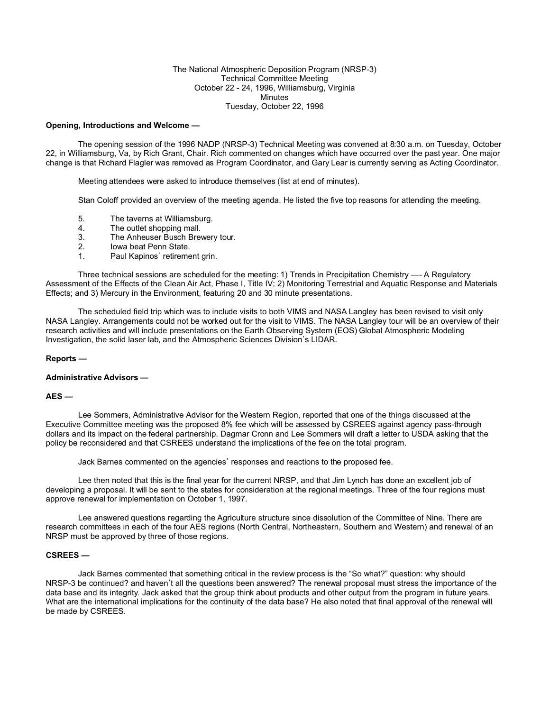### The National Atmospheric Deposition Program (NRSP-3) Technical Committee Meeting October 22 - 24, 1996, Williamsburg, Virginia Minutes Tuesday, October 22, 1996

#### **Opening, Introductions and Welcome —**

The opening session of the 1996 NADP (NRSP-3) Technical Meeting was convened at 8:30 a.m. on Tuesday, October 22, in Williamsburg, Va, by Rich Grant, Chair. Rich commented on changes which have occurred over the past year. One major change is that Richard Flagler was removed as Program Coordinator, and Gary Lear is currently serving as Acting Coordinator.

Meeting attendees were asked to introduce themselves (list at end of minutes).

Stan Coloff provided an overview of the meeting agenda. He listed the five top reasons for attending the meeting.

- 5. The taverns at Williamsburg.
- 4. The outlet shopping mall.
- 3. The Anheuser Busch Brewery tour.
- 2. Iowa beat Penn State.<br>1. Paul Kapinos' retireme
- Paul Kapinos' retirement grin.

Three technical sessions are scheduled for the meeting: 1) Trends in Precipitation Chemistry —- A Regulatory Assessment of the Effects of the Clean Air Act, Phase I, Title IV; 2) Monitoring Terrestrial and Aquatic Response and Materials Effects; and 3) Mercury in the Environment, featuring 20 and 30 minute presentations.

The scheduled field trip which was to include visits to both VIMS and NASA Langley has been revised to visit only NASA Langley. Arrangements could not be worked out for the visit to VIMS. The NASA Langley tour will be an overview of their research activities and will include presentations on the Earth Observing System (EOS) Global Atmospheric Modeling Investigation, the solid laser lab, and the Atmospheric Sciences Division's LIDAR.

#### **Reports —**

### **Administrative Advisors —**

## **AES —**

Lee Sommers, Administrative Advisor for the Western Region, reported that one of the things discussed at the Executive Committee meeting was the proposed 8% fee which will be assessed by CSREES against agency pass-through dollars and its impact on the federal partnership. Dagmar Cronn and Lee Sommers will draft a letter to USDA asking that the policy be reconsidered and that CSREES understand the implications of the fee on the total program.

Jack Barnes commented on the agencies' responses and reactions to the proposed fee.

Lee then noted that this is the final year for the current NRSP, and that Jim Lynch has done an excellent job of developing a proposal. It will be sent to the states for consideration at the regional meetings. Three of the four regions must approve renewal for implementation on October 1, 1997.

Lee answered questions regarding the Agriculture structure since dissolution of the Committee of Nine. There are research committees in each of the four AES regions (North Central, Northeastern, Southern and Western) and renewal of an NRSP must be approved by three of those regions.

## **CSREES —**

Jack Barnes commented that something critical in the review process is the "So what?" question: why should NRSP-3 be continued? and haven't all the questions been answered? The renewal proposal must stress the importance of the data base and its integrity. Jack asked that the group think about products and other output from the program in future years. What are the international implications for the continuity of the data base? He also noted that final approval of the renewal will be made by CSREES.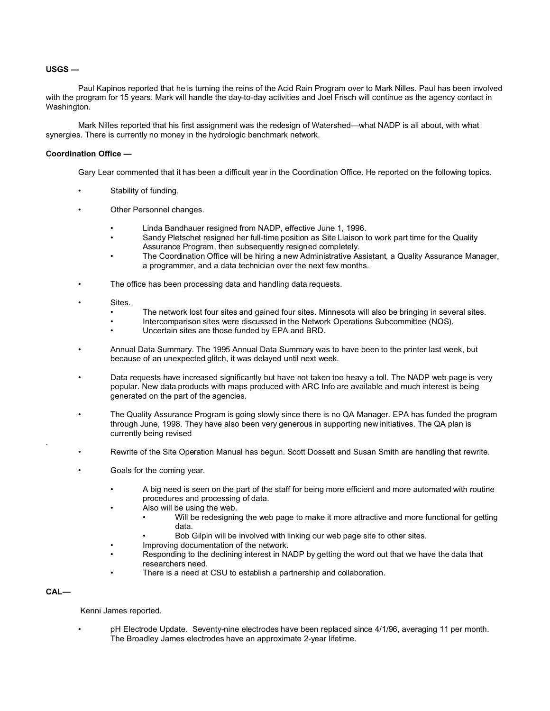## **USGS —**

Paul Kapinos reported that he is turning the reins of the Acid Rain Program over to Mark Nilles. Paul has been involved with the program for 15 years. Mark will handle the day-to-day activities and Joel Frisch will continue as the agency contact in Washington.

Mark Nilles reported that his first assignment was the redesign of Watershed—what NADP is all about, with what synergies. There is currently no money in the hydrologic benchmark network.

### **Coordination Office —**

Gary Lear commented that it has been a difficult year in the Coordination Office. He reported on the following topics.

- Stability of funding.
- Other Personnel changes.
	- Linda Bandhauer resigned from NADP, effective June 1, 1996.
	- Sandy Pletschet resigned her full-time position as Site Liaison to work part time for the Quality Assurance Program, then subsequently resigned completely.
	- The Coordination Office will be hiring a new Administrative Assistant, a Quality Assurance Manager, a programmer, and a data technician over the next few months.
- The office has been processing data and handling data requests.
- Sites.
	- The network lost four sites and gained four sites. Minnesota will also be bringing in several sites.
	- Intercomparison sites were discussed in the Network Operations Subcommittee (NOS).
	- Uncertain sites are those funded by EPA and BRD.
- Annual Data Summary. The 1995 Annual Data Summary was to have been to the printer last week, but because of an unexpected glitch, it was delayed until next week.
- Data requests have increased significantly but have not taken too heavy a toll. The NADP web page is very popular. New data products with maps produced with ARC Info are available and much interest is being generated on the part of the agencies.
- The Quality Assurance Program is going slowly since there is no QA Manager. EPA has funded the program through June, 1998. They have also been very generous in supporting new initiatives. The QA plan is currently being revised
- Rewrite of the Site Operation Manual has begun. Scott Dossett and Susan Smith are handling that rewrite.
- Goals for the coming year.
	- A big need is seen on the part of the staff for being more efficient and more automated with routine procedures and processing of data.
	- Also will be using the web.
		- Will be redesigning the web page to make it more attractive and more functional for getting data.
		- Bob Gilpin will be involved with linking our web page site to other sites.
	- Improving documentation of the network.
	- Responding to the declining interest in NADP by getting the word out that we have the data that researchers need.
	- There is a need at CSU to establish a partnership and collaboration.

## **CAL—**

.

Kenni James reported.

• pH Electrode Update. Seventy-nine electrodes have been replaced since 4/1/96, averaging 11 per month. The Broadley James electrodes have an approximate 2-year lifetime.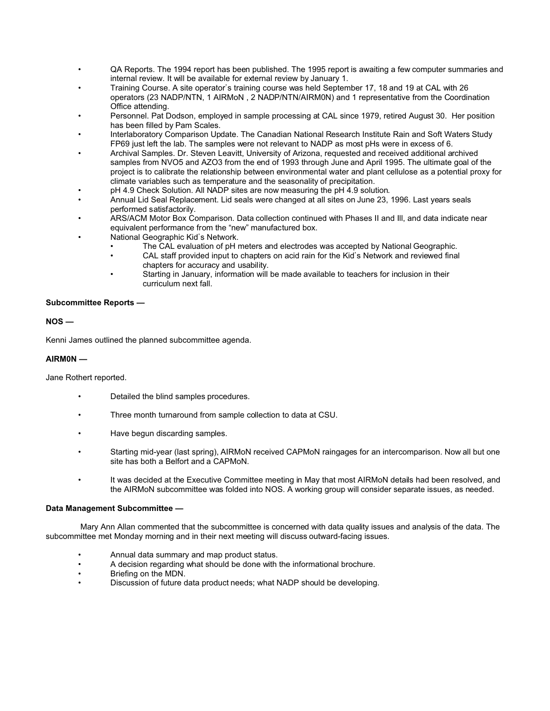- QA Reports. The 1994 report has been published. The 1995 report is awaiting a few computer summaries and internal review. It will be available for external review by January 1.
- Training Course. A site operator's training course was held September 17, 18 and 19 at CAL with 26 operators (23 NADP/NTN, 1 AIRMoN , 2 NADP/NTN/AIRM0N) and 1 representative from the Coordination Office attending.
- Personnel. Pat Dodson, employed in sample processing at CAL since 1979, retired August 30. Her position has been filled by Pam Scales.
- Interlaboratory Comparison Update. The Canadian National Research Institute Rain and Soft Waters Study FP69 just left the lab. The samples were not relevant to NADP as most pHs were in excess of 6.
- Archival Samples. Dr. Steven Leavitt, University of Arizona, requested and received additional archived samples from NVO5 and AZO3 from the end of 1993 through June and April 1995. The ultimate goal of the project is to calibrate the relationship between environmental water and plant cellulose as a potential proxy for climate variables such as temperature and the seasonality of precipitation.
- pH 4.9 Check Solution. All NADP sites are now measuring the pH 4.9 solution.
- Annual Lid Seal Replacement. Lid seals were changed at all sites on June 23, 1996. Last years seals performed satisfactorily.
- ARS/ACM Motor Box Comparison. Data collection continued with Phases II and Ill, and data indicate near equivalent performance from the "new" manufactured box.
- National Geographic Kid's Network.
	- The CAL evaluation of pH meters and electrodes was accepted by National Geographic.
	- CAL staff provided input to chapters on acid rain for the Kid's Network and reviewed final chapters for accuracy and usability.
	- Starting in January, information will be made available to teachers for inclusion in their curriculum next fall.

## **Subcommittee Reports —**

# **NOS —**

Kenni James outlined the planned subcommittee agenda.

## **AIRM0N —**

## Jane Rothert reported.

- Detailed the blind samples procedures.
- Three month turnaround from sample collection to data at CSU.
- Have begun discarding samples.
- Starting mid-year (last spring), AIRMoN received CAPMoN raingages for an intercomparison. Now all but one site has both a Belfort and a CAPMoN.
- It was decided at the Executive Committee meeting in May that most AIRMoN details had been resolved, and the AIRMoN subcommittee was folded into NOS. A working group will consider separate issues, as needed.

## **Data Management Subcommittee —**

 Mary Ann Allan commented that the subcommittee is concerned with data quality issues and analysis of the data. The subcommittee met Monday morning and in their next meeting will discuss outward-facing issues.

- Annual data summary and map product status.
- A decision regarding what should be done with the informational brochure.<br>• Rriefing on the MDN
- Briefing on the MDN.
- Discussion of future data product needs; what NADP should be developing.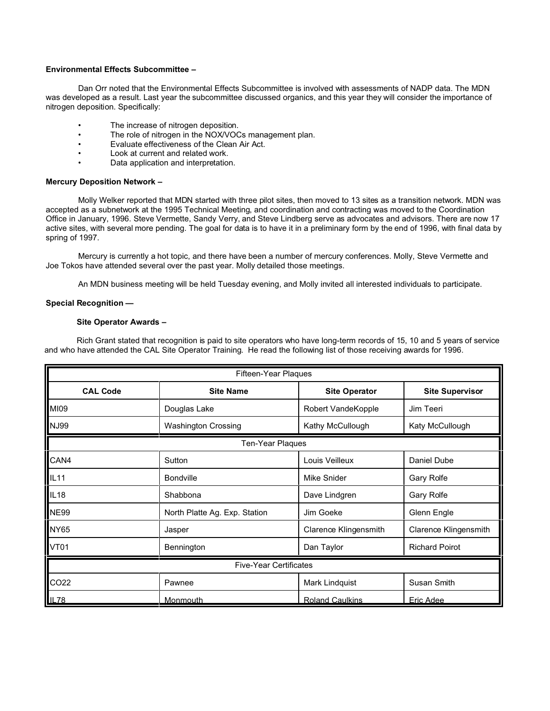## **Environmental Effects Subcommittee –**

Dan Orr noted that the Environmental Effects Subcommittee is involved with assessments of NADP data. The MDN was developed as a result. Last year the subcommittee discussed organics, and this year they will consider the importance of nitrogen deposition. Specifically:

- The increase of nitrogen deposition.
- The role of nitrogen in the NOX/VOCs management plan.
- Evaluate effectiveness of the Clean Air Act.
- Look at current and related work.
- Data application and interpretation.

## **Mercury Deposition Network –**

Molly Welker reported that MDN started with three pilot sites, then moved to 13 sites as a transition network. MDN was accepted as a subnetwork at the 1995 Technical Meeting, and coordination and contracting was moved to the Coordination Office in January, 1996. Steve Vermette, Sandy Verry, and Steve Lindberg serve as advocates and advisors. There are now 17 active sites, with several more pending. The goal for data is to have it in a preliminary form by the end of 1996, with final data by spring of 1997.

Mercury is currently a hot topic, and there have been a number of mercury conferences. Molly, Steve Vermette and Joe Tokos have attended several over the past year. Molly detailed those meetings.

An MDN business meeting will be held Tuesday evening, and Molly invited all interested individuals to participate.

## **Special Recognition —**

# **Site Operator Awards –**

Rich Grant stated that recognition is paid to site operators who have long-term records of 15, 10 and 5 years of service and who have attended the CAL Site Operator Training. He read the following list of those receiving awards for 1996.

| Fifteen-Year Plaques |                               |                              |                        |  |
|----------------------|-------------------------------|------------------------------|------------------------|--|
| <b>CAL Code</b>      | <b>Site Name</b>              | <b>Site Operator</b>         | <b>Site Supervisor</b> |  |
| MI09                 | Douglas Lake                  | Robert VandeKopple           | Jim Teeri              |  |
| <b>NJ99</b>          | <b>Washington Crossing</b>    | Kathy McCullough             | Katy McCullough        |  |
|                      | Ten-Year Plaques              |                              |                        |  |
| CAN4                 | Sutton                        | Louis Veilleux               | Daniel Dube            |  |
| <b>IL11</b>          | <b>Bondville</b>              | Mike Snider                  | <b>Gary Rolfe</b>      |  |
| IL18                 | Shabbona                      | Dave Lindgren                | Gary Rolfe             |  |
| <b>NE99</b>          | North Platte Ag. Exp. Station | Jim Goeke                    | Glenn Engle            |  |
| <b>NY65</b>          | Jasper                        | <b>Clarence Klingensmith</b> | Clarence Klingensmith  |  |
| <b>VT01</b>          | Bennington                    | Dan Taylor                   | <b>Richard Poirot</b>  |  |
|                      | <b>Five-Year Certificates</b> |                              |                        |  |
| CO22                 | Pawnee                        | Mark Lindquist               | Susan Smith            |  |
| IL78                 | Monmouth                      | <b>Roland Caulkins</b>       | Eric Adee              |  |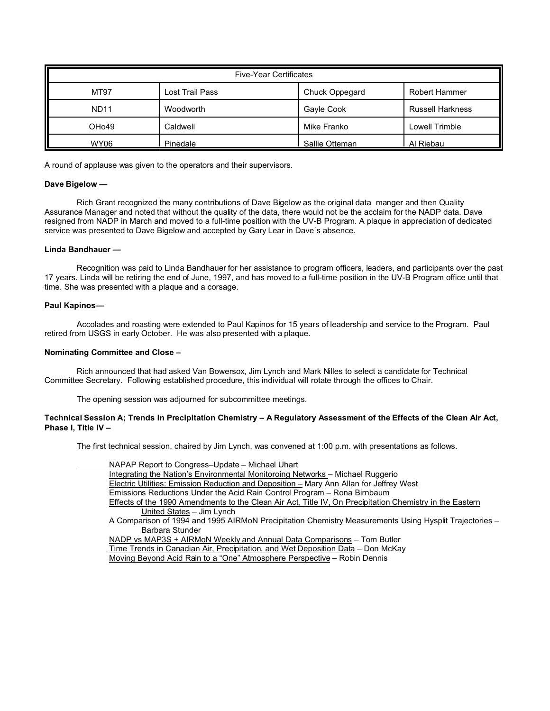| <b>Five-Year Certificates</b> |                 |                |                         |  |
|-------------------------------|-----------------|----------------|-------------------------|--|
| MT97                          | Lost Trail Pass | Chuck Oppegard | <b>Robert Hammer</b>    |  |
| <b>ND11</b>                   | Woodworth       | Gayle Cook     | <b>Russell Harkness</b> |  |
| OH <sub>o</sub> 49            | Caldwell        | Mike Franko    | Lowell Trimble          |  |
| WY06                          | Pinedale        | Sallie Otteman | Al Riebau               |  |

A round of applause was given to the operators and their supervisors.

## **Dave Bigelow —**

Rich Grant recognized the many contributions of Dave Bigelow as the original data manger and then Quality Assurance Manager and noted that without the quality of the data, there would not be the acclaim for the NADP data. Dave resigned from NADP in March and moved to a full-time position with the UV-B Program. A plaque in appreciation of dedicated service was presented to Dave Bigelow and accepted by Gary Lear in Dave's absence.

### **Linda Bandhauer —**

Recognition was paid to Linda Bandhauer for her assistance to program officers, leaders, and participants over the past 17 years. Linda will be retiring the end of June, 1997, and has moved to a full-time position in the UV-B Program office until that time. She was presented with a plaque and a corsage.

### **Paul Kapinos—**

Accolades and roasting were extended to Paul Kapinos for 15 years of leadership and service to the Program. Paul retired from USGS in early October. He was also presented with a plaque.

### **Nominating Committee and Close –**

Rich announced that had asked Van Bowersox, Jim Lynch and Mark Nilles to select a candidate for Technical Committee Secretary. Following established procedure, this individual will rotate through the offices to Chair.

The opening session was adjourned for subcommittee meetings.

### **Technical Session A; Trends in Precipitation Chemistry – A Regulatory Assessment of the Effects of the Clean Air Act, Phase I, Title IV –**

The first technical session, chaired by Jim Lynch, was convened at 1:00 p.m. with presentations as follows.

NAPAP Report to Congress–Update – Michael Uhart Integrating the Nation's Environmental Monitoroing Networks – Michael Ruggerio Electric Utilities: Emission Reduction and Deposition – Mary Ann Allan for Jeffrey West Emissions Reductions Under the Acid Rain Control Program – Rona Birnbaum Effects of the 1990 Amendments to the Clean Air Act, Title IV, On Precipitation Chemistry in the Eastern United States – Jim Lynch A Comparison of 1994 and 1995 AIRMoN Precipitation Chemistry Measurements Using Hysplit Trajectories – Barbara Stunder NADP vs MAP3S + AIRMoN Weekly and Annual Data Comparisons – Tom Butler Time Trends in Canadian Air, Precipitation, and Wet Deposition Data – Don McKay Moving Beyond Acid Rain to a "One" Atmosphere Perspective – Robin Dennis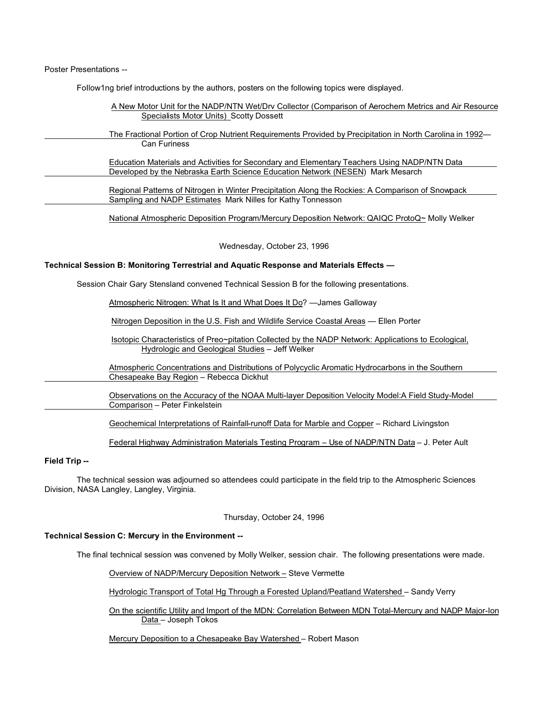Poster Presentations --

FoIlow1ng brief introductions by the authors, posters on the following topics were displayed.

| A New Motor Unit for the NADP/NTN Wet/Drv Collector (Comparison of Aerochem Metrics and Air Resource<br>Specialists Motor Units) Scotty Dossett |
|-------------------------------------------------------------------------------------------------------------------------------------------------|
| The Fractional Portion of Crop Nutrient Requirements Provided by Precipitation in North Carolina in 1992—                                       |
| <b>Can Furiness</b>                                                                                                                             |
| Education Materials and Activities for Secondary and Elementary Teachers Using NADP/NTN Data                                                    |
| Developed by the Nebraska Earth Science Education Network (NESEN) Mark Mesarch                                                                  |
| Regional Patterns of Nitrogen in Winter Precipitation Along the Rockies: A Comparison of Snowpack                                               |
| Sampling and NADP Estimates Mark Nilles for Kathy Tonnesson                                                                                     |
| National Atmospheric Deposition Program/Mercury Deposition Network: QAIQC ProtoQ~ Molly Welker                                                  |
|                                                                                                                                                 |
|                                                                                                                                                 |

Wednesday, October 23, 1996

### **Technical Session B: Monitoring Terrestrial and Aquatic Response and Materials Effects —**

Session Chair Gary Stensland convened Technical Session B for the following presentations.

Atmospheric Nitrogen: What Is It and What Does It Do? —James Galloway

Nitrogen Deposition in the U.S. Fish and Wildlife Service Coastal Areas — Ellen Porter

Isotopic Characteristics of Preo~pitation Collected by the NADP Network: Applications to Ecological, Hydrologic and Geological Studies – Jeff Welker

Atmospheric Concentrations and Distributions of Polycyclic Aromatic Hydrocarbons in the Southern Chesapeake Bay Region – Rebecca Dickhut

Observations on the Accuracy of the NOAA Multi-layer Deposition Velocity Model:A Field Study-Model Comparison – Peter Finkelstein

Geochemical Interpretations of Rainfall-runoff Data for Marble and Copper – Richard Livingston

Federal Highway Administration Materials Testing Program – Use of NADP/NTN Data – J. Peter Ault

# **Field Trip --**

The technical session was adjourned so attendees could participate in the field trip to the Atmospheric Sciences Division, NASA Langley, Langley, Virginia.

Thursday, October 24, 1996

## **Technical Session C: Mercury in the Environment --**

The final technical session was convened by Molly Welker, session chair. The following presentations were made.

Overview of NADP/Mercury Deposition Network – Steve Vermette

Hydrologic Transport of Total Hg Through a Forested Upland/Peatland Watershed – Sandy Verry

On the scientific Utility and Import of the MDN: Correlation Between MDN Total-Mercury and NADP Major-Ion Data – Joseph Tokos

Mercury Deposition to a Chesapeake Bay Watershed – Robert Mason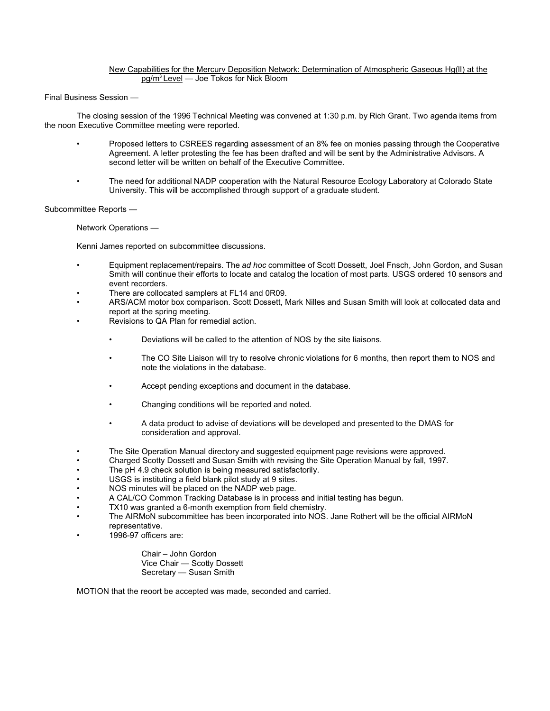## New Capabilities for the Mercurv Deposition Network: Determination of Atmospheric Gaseous Hg(lI) at the pg/m<sup>3</sup>Level — Joe Tokos for Nick Bloom

Final Business Session —

The closing session of the 1996 Technical Meeting was convened at 1:30 p.m. by Rich Grant. Two agenda items from the noon Executive Committee meeting were reported.

- Proposed letters to CSREES regarding assessment of an 8% fee on monies passing through the Cooperative Agreement. A letter protesting the fee has been drafted and will be sent by the Administrative Advisors. A second letter will be written on behalf of the Executive Committee.
- The need for additional NADP cooperation with the Natural Resource Ecology Laboratory at Colorado State University. This will be accomplished through support of a graduate student.

Subcommittee Reports —

Network Operations —

Kenni James reported on subcommittee discussions.

- Equipment replacement/repairs. The *ad hoc* committee of Scott Dossett, Joel Fnsch, John Gordon, and Susan Smith will continue their efforts to locate and catalog the location of most parts. USGS ordered 10 sensors and event recorders.
- There are collocated samplers at FL14 and 0R09.
- ARS/ACM motor box comparison. Scott Dossett, Mark Nilles and Susan Smith will look at collocated data and report at the spring meeting.
- Revisions to QA Plan for remedial action.
	- Deviations will be called to the attention of NOS by the site liaisons.
	- The CO Site Liaison will try to resolve chronic violations for 6 months, then report them to NOS and note the violations in the database.
	- Accept pending exceptions and document in the database.
	- Changing conditions will be reported and noted.
	- A data product to advise of deviations will be developed and presented to the DMAS for consideration and approval.
- The Site Operation Manual directory and suggested equipment page revisions were approved.
- Charged Scotty Dossett and Susan Smith with revising the Site Operation Manual by fall, 1997.
- The pH 4.9 check solution is being measured satisfactorily.
- USGS is instituting a field blank pilot study at 9 sites.
- NOS minutes will be placed on the NADP web page.
- A CAL/CO Common Tracking Database is in process and initial testing has begun.
- TX10 was granted a 6-month exemption from field chemistry.
- The AIRMoN subcommittee has been incorporated into NOS. Jane Rothert will be the official AIRMoN representative.
- 1996-97 officers are:

Chair – John Gordon Vice Chair — Scotty Dossett Secretary — Susan Smith

MOTION that the reoort be accepted was made, seconded and carried.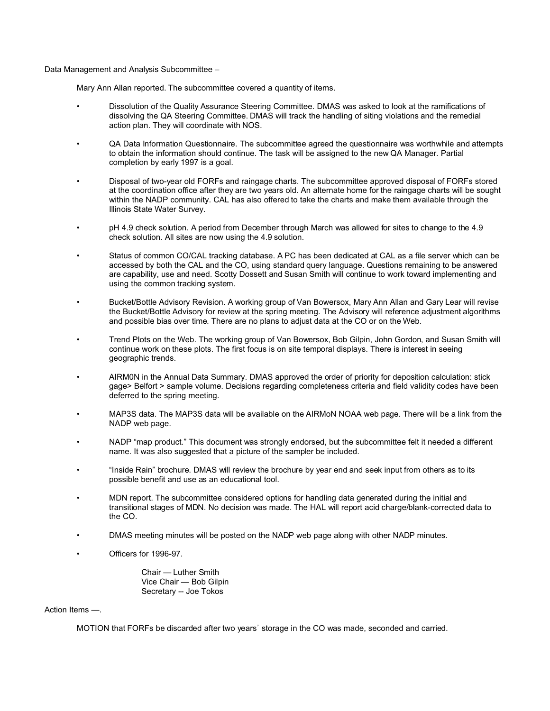Data Management and Analysis Subcommittee –

Mary Ann Allan reported. The subcommittee covered a quantity of items.

- Dissolution of the Quality Assurance Steering Committee. DMAS was asked to look at the ramifications of dissolving the QA Steering Committee. DMAS will track the handling of siting violations and the remedial action plan. They will coordinate with NOS.
- QA Data Information Questionnaire. The subcommittee agreed the questionnaire was worthwhile and attempts to obtain the information should continue. The task will be assigned to the new QA Manager. Partial completion by early 1997 is a goal.
- Disposal of two-year old FORFs and raingage charts. The subcommittee approved disposal of FORFs stored at the coordination office after they are two years old. An alternate home for the raingage charts will be sought within the NADP community. CAL has also offered to take the charts and make them available through the Illinois State Water Survey.
- pH 4.9 check solution. A period from December through March was allowed for sites to change to the 4.9 check solution. All sites are now using the 4.9 solution.
- Status of common CO/CAL tracking database. A PC has been dedicated at CAL as a file server which can be accessed by both the CAL and the CO, using standard query language. Questions remaining to be answered are capability, use and need. Scotty Dossett and Susan Smith will continue to work toward implementing and using the common tracking system.
- Bucket/Bottle Advisory Revision. A working group of Van Bowersox, Mary Ann Allan and Gary Lear will revise the Bucket/Bottle Advisory for review at the spring meeting. The Advisory will reference adjustment algorithms and possible bias over time. There are no plans to adjust data at the CO or on the Web.
- Trend Plots on the Web. The working group of Van Bowersox, Bob Gilpin, John Gordon, and Susan Smith will continue work on these plots. The first focus is on site temporal displays. There is interest in seeing geographic trends.
- AIRM0N in the Annual Data Summary. DMAS approved the order of priority for deposition calculation: stick gage> Belfort > sample volume. Decisions regarding completeness criteria and field validity codes have been deferred to the spring meeting.
- MAP3S data. The MAP3S data will be available on the AIRMoN NOAA web page. There will be a link from the NADP web page.
- NADP "map product." This document was strongly endorsed, but the subcommittee felt it needed a different name. It was also suggested that a picture of the sampler be included.
- "Inside Rain" brochure. DMAS will review the brochure by year end and seek input from others as to its possible benefit and use as an educational tool.
- MDN report. The subcommittee considered options for handling data generated during the initial and transitional stages of MDN. No decision was made. The HAL will report acid charge/blank-corrected data to the CO.
- DMAS meeting minutes will be posted on the NADP web page along with other NADP minutes.
- Officers for 1996-97.

Chair — Luther Smith Vice Chair — Bob Gilpin Secretary -- Joe Tokos

Action Items —.

MOTION that FORFs be discarded after two years' storage in the CO was made, seconded and carried.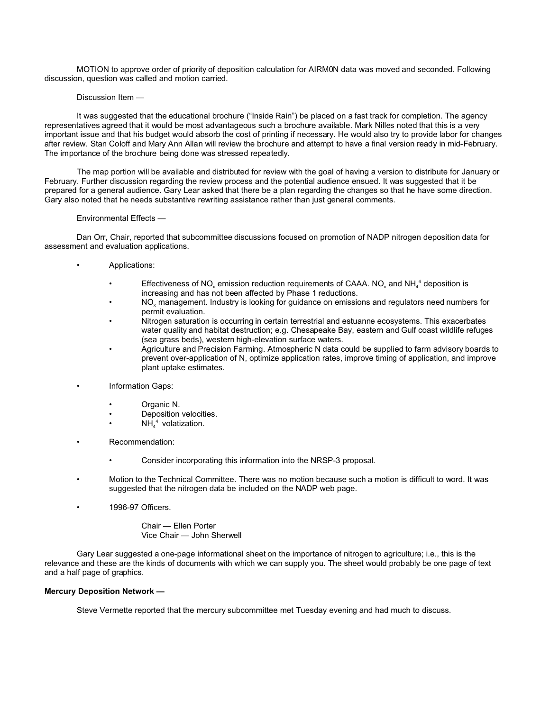MOTION to approve order of priority of deposition calculation for AIRM0N data was moved and seconded. Following discussion, question was called and motion carried.

Discussion Item —

It was suggested that the educational brochure ("Inside Rain") be placed on a fast track for completion. The agency representatives agreed that it would be most advantageous such a brochure available. Mark Nilles noted that this is a very important issue and that his budget would absorb the cost of printing if necessary. He would also try to provide labor for changes after review. Stan Coloff and Mary Ann Allan will review the brochure and attempt to have a final version ready in mid-February. The importance of the brochure being done was stressed repeatedly.

The map portion will be available and distributed for review with the goal of having a version to distribute for January or February. Further discussion regarding the review process and the potential audience ensued. It was suggested that it be prepared for a general audience. Gary Lear asked that there be a plan regarding the changes so that he have some direction. Gary also noted that he needs substantive rewriting assistance rather than just general comments.

### Environmental Effects —

Dan Orr, Chair, reported that subcommittee discussions focused on promotion of NADP nitrogen deposition data for assessment and evaluation applications.

- Applications:
	- Effectiveness of NO<sub>x</sub> emission reduction requirements of CAAA. NO<sub>x</sub> and NH<sub>4</sub><sup>4</sup> deposition is increasing and has not been affected by Phase 1 reductions.
	- $\rm NO_x$  management. Industry is looking for guidance on emissions and regulators need numbers for permit evaluation.
	- Nitrogen saturation is occurring in certain terrestrial and estuanne ecosystems. This exacerbates water quality and habitat destruction; e.g. Chesapeake Bay, eastern and Gulf coast wildlife refuges (sea grass beds), western high-elevation surface waters.
	- Agriculture and Precision Farming. Atmospheric N data could be supplied to farm advisory boards to prevent over-application of N, optimize application rates, improve timing of application, and improve plant uptake estimates.
- Information Gaps:
	- Organic N.
	- Deposition velocities.
	- $NH_4^4$  volatization.
- Recommendation:
	- Consider incorporating this information into the NRSP-3 proposal.
- Motion to the Technical Committee. There was no motion because such a motion is difficult to word. It was suggested that the nitrogen data be included on the NADP web page.
- 1996-97 Officers.

Chair — Ellen Porter Vice Chair — John Sherwell

Gary Lear suggested a one-page informational sheet on the importance of nitrogen to agriculture; i.e., this is the relevance and these are the kinds of documents with which we can supply you. The sheet would probably be one page of text and a half page of graphics.

## **Mercury Deposition Network —**

Steve Vermette reported that the mercury subcommittee met Tuesday evening and had much to discuss.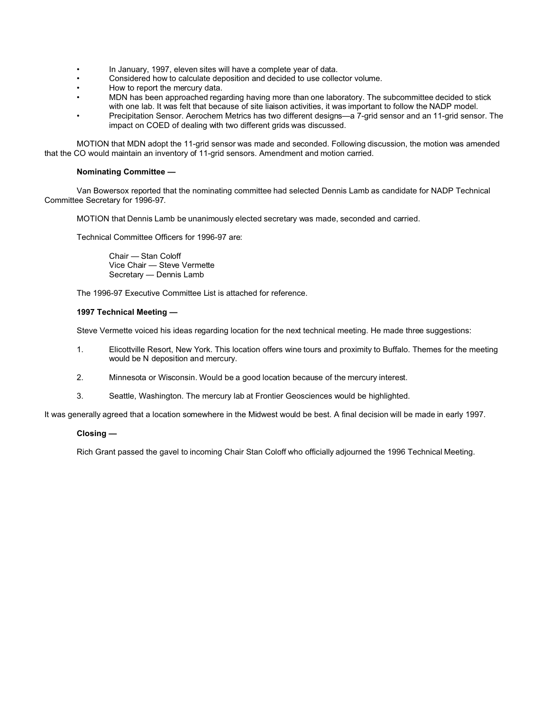- In January, 1997, eleven sites will have a complete year of data.
- Considered how to calculate deposition and decided to use collector volume.
- How to report the mercury data.
- MDN has been approached regarding having more than one laboratory. The subcommittee decided to stick with one lab. It was felt that because of site liaison activities, it was important to follow the NADP model.
- Precipitation Sensor. Aerochem Metrics has two different designs—a 7-grid sensor and an 11-grid sensor. The impact on COED of dealing with two different grids was discussed.

MOTION that MDN adopt the 11-grid sensor was made and seconded. Following discussion, the motion was amended that the CO would maintain an inventory of 11-grid sensors. Amendment and motion carried.

### **Nominating Committee —**

Van Bowersox reported that the nominating committee had selected Dennis Lamb as candidate for NADP Technical Committee Secretary for 1996-97.

MOTION that Dennis Lamb be unanimously elected secretary was made, seconded and carried.

Technical Committee Officers for 1996-97 are:

Chair — Stan Coloff Vice Chair — Steve Vermette Secretary — Dennis Lamb

The 1996-97 Executive Committee List is attached for reference.

### **1997 Technical Meeting —**

Steve Vermette voiced his ideas regarding location for the next technical meeting. He made three suggestions:

- 1. Elicottville Resort, New York. This location offers wine tours and proximity to Buffalo. Themes for the meeting would be N deposition and mercury.
- 2. Minnesota or Wisconsin. Would be a good location because of the mercury interest.
- 3. Seattle, Washington. The mercury lab at Frontier Geosciences would be highlighted.

It was generally agreed that a location somewhere in the Midwest would be best. A final decision will be made in early 1997.

## **Closing —**

Rich Grant passed the gavel to incoming Chair Stan Coloff who officially adjourned the 1996 Technical Meeting.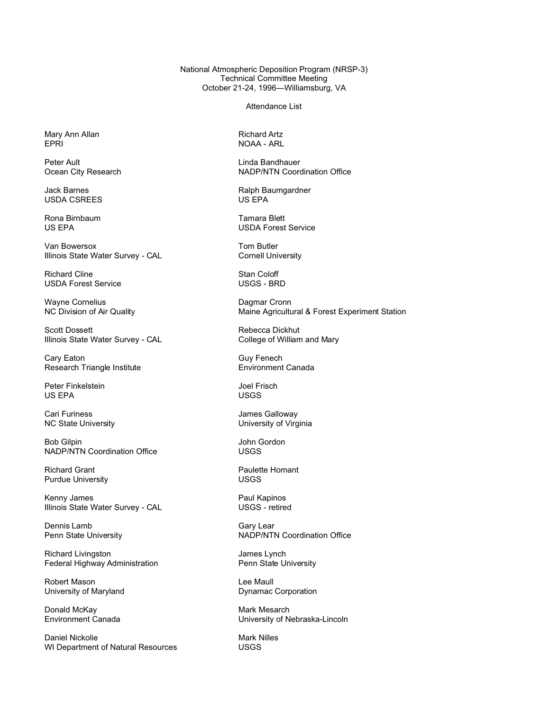National Atmospheric Deposition Program (NRSP-3) Technical Committee Meeting October 21-24, 1996—Williamsburg, VA

Attendance List

Mary Ann Allan **Richard Artz**<br>1999 - EPRI RICHARD ROAG ARL ROAG ARL

Peter Ault<br>
Ocean City Research<br>
Coord<br>
Coord<br>
Coord<br>
Coord<br>
Coord<br>
Coord<br>
Coord<br>
Coord<br>
Coord<br>
Coord<br>
Coord<br>
Coord<br>
Coord<br>
Coord<br>
Coord<br>
Coord<br>
Coord<br>
Coord<br>
Coord<br>
Coord<br>
Coord<br>
Coord<br>
Coord<br>
Coord<br>
Coord<br>
Coord<br>
Coord<br>

**USDA CSREES** 

Rona Birnbaum Tamara Blett

Van Bowersox **Tom Butler** Illinois State Water Survey - CAL Cornell University

Richard Cline **Stan Coloff** USDA Forest Service USGS - BRD

Wayne Cornelius<br>
NC Division of Air Quality<br>
Naine Agricultu

Scott Dossett<br>
Illinois State Water Survey - CAL The Rebecca Dickhut<br>
College of William and Mary Illinois State Water Survey - CAL

Cary Eaton<br>
Research Triangle Institute<br>
Research Triangle Institute<br>
Guy Fenech Ganada Research Triangle Institute

Peter Finkelstein and The Test of Test and Test and Test and Test and Test and Test and Test and Test and Test US EPA USGS

Cari Furiness **Cari Furiness** James Galloway

Bob Gilpin **Gordon**<br>
NADP/NTN Coordination Office **ACCONG THE SEAST OF SEAST OF SEAST OF SEAST OF SEAST OF SEAST OF SEAST OF SEAST O** NADP/NTN Coordination Office

Richard Grant **Contract Contract Contract Contract Paulette Homant**<br>
Paulette Homant Purdue USGS Purdue University

Kenny James **Paul Kapinos** Illinois State Water Survey - CAL USGS - retired

Dennis Lamb Gary Lear<br>
Penn State University Communication of the MADP/NTI

Richard Livingston<br>
Federal Highway Administration<br>
Penn State University Federal Highway Administration

University of Maryland

Donald McKay **Mark Mesarch Canada**<br> **Environment Canada** Mark Mesarch Liniversity of N

Daniel Nickolie **Mark Nilles**<br>
WI Department of Natural Resources **Mark Nilles**<br>
USGS WI Department of Natural Resources

NOAA - ARL

NADP/NTN Coordination Office

Jack Barnes **Ralph Baumgardner**<br>
USDA CSRFFS

**USDA Forest Service** 

Maine Agricultural & Forest Experiment Station

NC State University **NATE ISSUES 2018** University of Virginia

NADP/NTN Coordination Office

Robert Mason<br>
University of Maryland<br>
University of Maryland<br>
Compare Lee Maull Dynamac Corporation

University of Nebraska-Lincoln